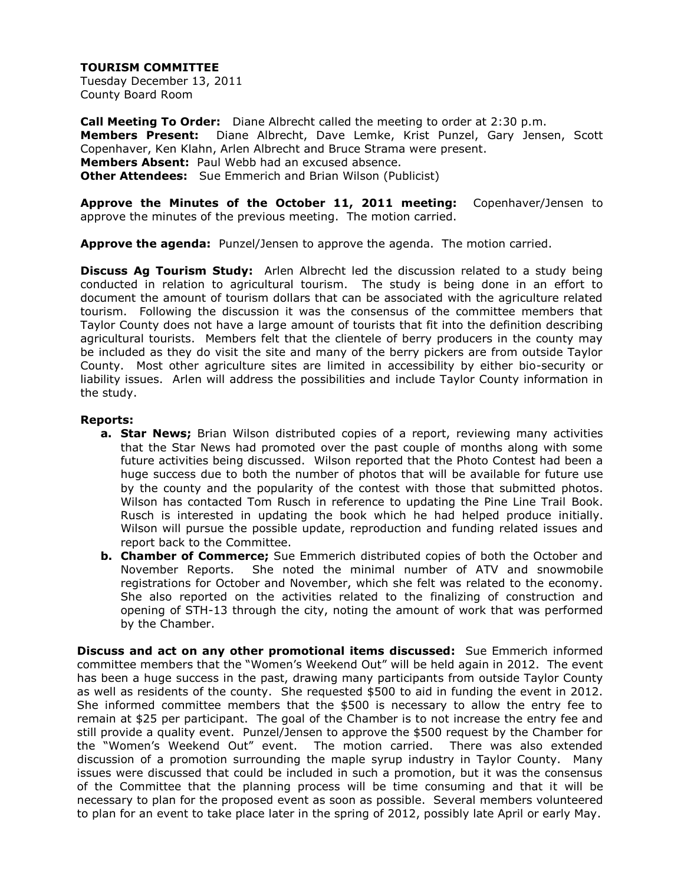Tuesday December 13, 2011 County Board Room

**Call Meeting To Order:** Diane Albrecht called the meeting to order at 2:30 p.m. **Members Present:** Diane Albrecht, Dave Lemke, Krist Punzel, Gary Jensen, Scott Copenhaver, Ken Klahn, Arlen Albrecht and Bruce Strama were present. **Members Absent:** Paul Webb had an excused absence. **Other Attendees:** Sue Emmerich and Brian Wilson (Publicist)

**Approve the Minutes of the October 11, 2011 meeting:** Copenhaver/Jensen to approve the minutes of the previous meeting. The motion carried.

**Approve the agenda:** Punzel/Jensen to approve the agenda. The motion carried.

**Discuss Ag Tourism Study:** Arlen Albrecht led the discussion related to a study being conducted in relation to agricultural tourism. The study is being done in an effort to document the amount of tourism dollars that can be associated with the agriculture related tourism. Following the discussion it was the consensus of the committee members that Taylor County does not have a large amount of tourists that fit into the definition describing agricultural tourists. Members felt that the clientele of berry producers in the county may be included as they do visit the site and many of the berry pickers are from outside Taylor County. Most other agriculture sites are limited in accessibility by either bio-security or liability issues. Arlen will address the possibilities and include Taylor County information in the study.

#### **Reports:**

- **a. Star News;** Brian Wilson distributed copies of a report, reviewing many activities that the Star News had promoted over the past couple of months along with some future activities being discussed. Wilson reported that the Photo Contest had been a huge success due to both the number of photos that will be available for future use by the county and the popularity of the contest with those that submitted photos. Wilson has contacted Tom Rusch in reference to updating the Pine Line Trail Book. Rusch is interested in updating the book which he had helped produce initially. Wilson will pursue the possible update, reproduction and funding related issues and report back to the Committee.
- **b. Chamber of Commerce;** Sue Emmerich distributed copies of both the October and November Reports. She noted the minimal number of ATV and snowmobile registrations for October and November, which she felt was related to the economy. She also reported on the activities related to the finalizing of construction and opening of STH-13 through the city, noting the amount of work that was performed by the Chamber.

**Discuss and act on any other promotional items discussed:** Sue Emmerich informed committee members that the "Women's Weekend Out" will be held again in 2012. The event has been a huge success in the past, drawing many participants from outside Taylor County as well as residents of the county. She requested \$500 to aid in funding the event in 2012. She informed committee members that the \$500 is necessary to allow the entry fee to remain at \$25 per participant. The goal of the Chamber is to not increase the entry fee and still provide a quality event. Punzel/Jensen to approve the \$500 request by the Chamber for the "Women's Weekend Out" event. The motion carried. There was also extended discussion of a promotion surrounding the maple syrup industry in Taylor County. Many issues were discussed that could be included in such a promotion, but it was the consensus of the Committee that the planning process will be time consuming and that it will be necessary to plan for the proposed event as soon as possible. Several members volunteered to plan for an event to take place later in the spring of 2012, possibly late April or early May.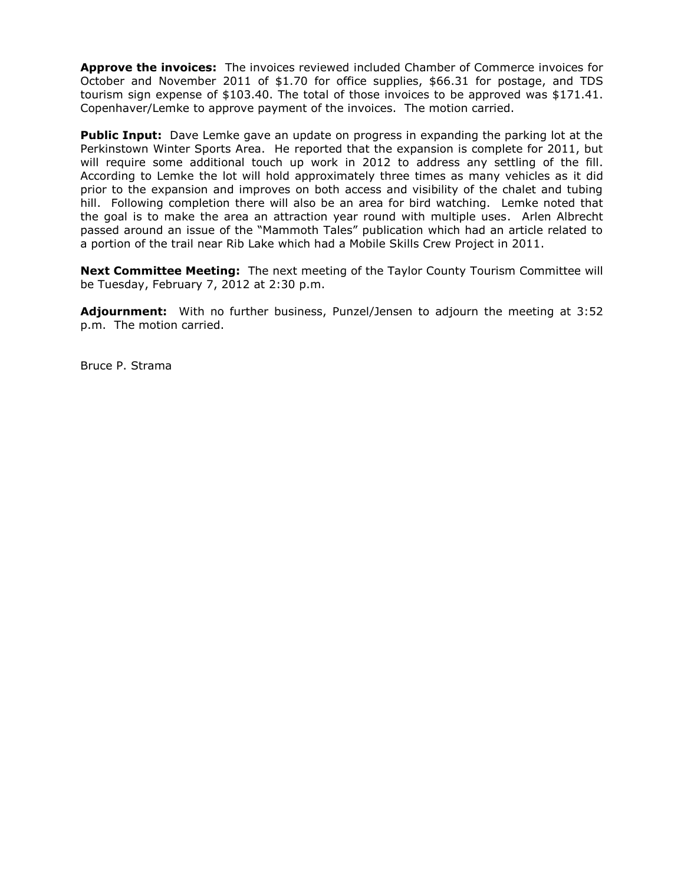**Approve the invoices:** The invoices reviewed included Chamber of Commerce invoices for October and November 2011 of \$1.70 for office supplies, \$66.31 for postage, and TDS tourism sign expense of \$103.40. The total of those invoices to be approved was \$171.41. Copenhaver/Lemke to approve payment of the invoices. The motion carried.

**Public Input:** Dave Lemke gave an update on progress in expanding the parking lot at the Perkinstown Winter Sports Area. He reported that the expansion is complete for 2011, but will require some additional touch up work in 2012 to address any settling of the fill. According to Lemke the lot will hold approximately three times as many vehicles as it did prior to the expansion and improves on both access and visibility of the chalet and tubing hill. Following completion there will also be an area for bird watching. Lemke noted that the goal is to make the area an attraction year round with multiple uses. Arlen Albrecht passed around an issue of the "Mammoth Tales" publication which had an article related to a portion of the trail near Rib Lake which had a Mobile Skills Crew Project in 2011.

**Next Committee Meeting:** The next meeting of the Taylor County Tourism Committee will be Tuesday, February 7, 2012 at 2:30 p.m.

**Adjournment:** With no further business, Punzel/Jensen to adjourn the meeting at 3:52 p.m. The motion carried.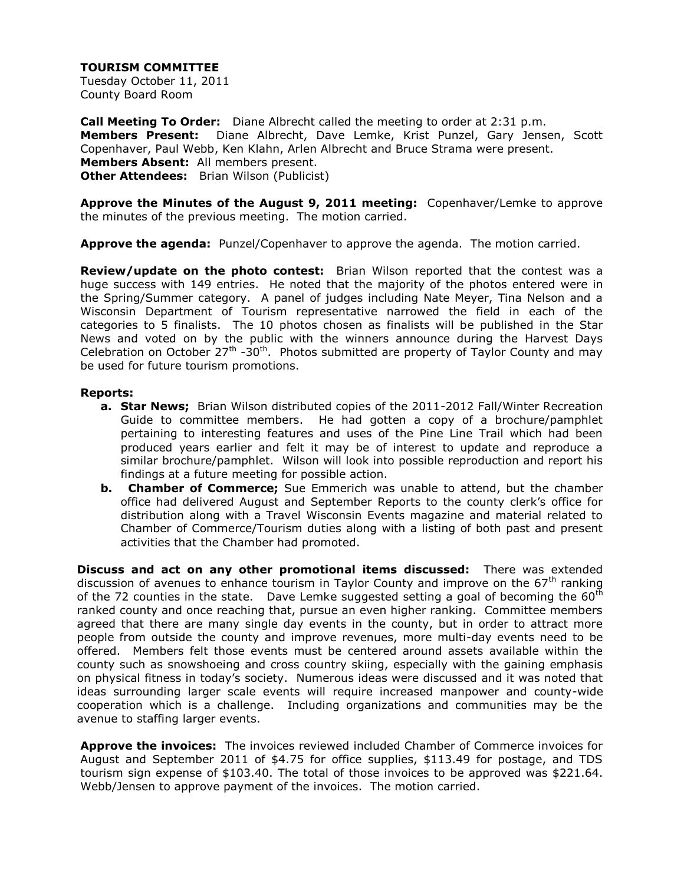Tuesday October 11, 2011 County Board Room

**Call Meeting To Order:** Diane Albrecht called the meeting to order at 2:31 p.m. **Members Present:** Diane Albrecht, Dave Lemke, Krist Punzel, Gary Jensen, Scott Copenhaver, Paul Webb, Ken Klahn, Arlen Albrecht and Bruce Strama were present. **Members Absent:** All members present. **Other Attendees:** Brian Wilson (Publicist)

**Approve the Minutes of the August 9, 2011 meeting:** Copenhaver/Lemke to approve the minutes of the previous meeting. The motion carried.

**Approve the agenda:** Punzel/Copenhaver to approve the agenda. The motion carried.

**Review/update on the photo contest:** Brian Wilson reported that the contest was a huge success with 149 entries. He noted that the majority of the photos entered were in the Spring/Summer category. A panel of judges including Nate Meyer, Tina Nelson and a Wisconsin Department of Tourism representative narrowed the field in each of the categories to 5 finalists. The 10 photos chosen as finalists will be published in the Star News and voted on by the public with the winners announce during the Harvest Days Celebration on October 27<sup>th</sup> -30<sup>th</sup>. Photos submitted are property of Taylor County and may be used for future tourism promotions.

#### **Reports:**

- **a. Star News;** Brian Wilson distributed copies of the 2011-2012 Fall/Winter Recreation Guide to committee members. He had gotten a copy of a brochure/pamphlet pertaining to interesting features and uses of the Pine Line Trail which had been produced years earlier and felt it may be of interest to update and reproduce a similar brochure/pamphlet. Wilson will look into possible reproduction and report his findings at a future meeting for possible action.
- **b. Chamber of Commerce;** Sue Emmerich was unable to attend, but the chamber office had delivered August and September Reports to the county clerk's office for distribution along with a Travel Wisconsin Events magazine and material related to Chamber of Commerce/Tourism duties along with a listing of both past and present activities that the Chamber had promoted.

**Discuss and act on any other promotional items discussed:** There was extended discussion of avenues to enhance tourism in Taylor County and improve on the  $67<sup>th</sup>$  ranking of the 72 counties in the state. Dave Lemke suggested setting a goal of becoming the  $60<sup>th</sup>$ ranked county and once reaching that, pursue an even higher ranking. Committee members agreed that there are many single day events in the county, but in order to attract more people from outside the county and improve revenues, more multi-day events need to be offered. Members felt those events must be centered around assets available within the county such as snowshoeing and cross country skiing, especially with the gaining emphasis on physical fitness in today's society. Numerous ideas were discussed and it was noted that ideas surrounding larger scale events will require increased manpower and county-wide cooperation which is a challenge. Including organizations and communities may be the avenue to staffing larger events.

**Approve the invoices:** The invoices reviewed included Chamber of Commerce invoices for August and September 2011 of \$4.75 for office supplies, \$113.49 for postage, and TDS tourism sign expense of \$103.40. The total of those invoices to be approved was \$221.64. Webb/Jensen to approve payment of the invoices. The motion carried.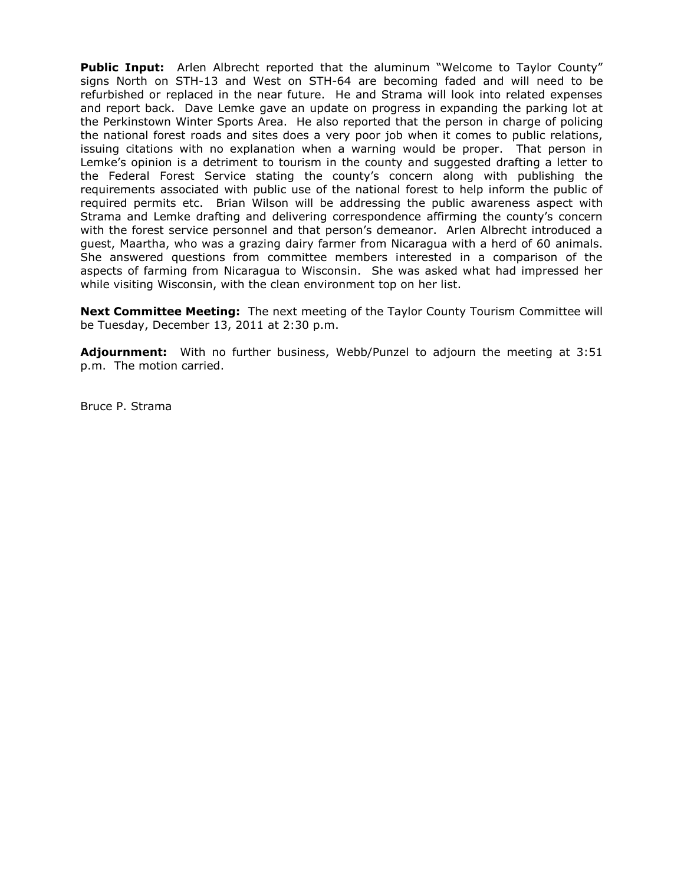**Public Input:** Arlen Albrecht reported that the aluminum "Welcome to Taylor County" signs North on STH-13 and West on STH-64 are becoming faded and will need to be refurbished or replaced in the near future. He and Strama will look into related expenses and report back. Dave Lemke gave an update on progress in expanding the parking lot at the Perkinstown Winter Sports Area. He also reported that the person in charge of policing the national forest roads and sites does a very poor job when it comes to public relations, issuing citations with no explanation when a warning would be proper. That person in Lemke's opinion is a detriment to tourism in the county and suggested drafting a letter to the Federal Forest Service stating the county's concern along with publishing the requirements associated with public use of the national forest to help inform the public of required permits etc. Brian Wilson will be addressing the public awareness aspect with Strama and Lemke drafting and delivering correspondence affirming the county's concern with the forest service personnel and that person's demeanor. Arlen Albrecht introduced a guest, Maartha, who was a grazing dairy farmer from Nicaragua with a herd of 60 animals. She answered questions from committee members interested in a comparison of the aspects of farming from Nicaragua to Wisconsin. She was asked what had impressed her while visiting Wisconsin, with the clean environment top on her list.

**Next Committee Meeting:** The next meeting of the Taylor County Tourism Committee will be Tuesday, December 13, 2011 at 2:30 p.m.

**Adjournment:** With no further business, Webb/Punzel to adjourn the meeting at 3:51 p.m. The motion carried.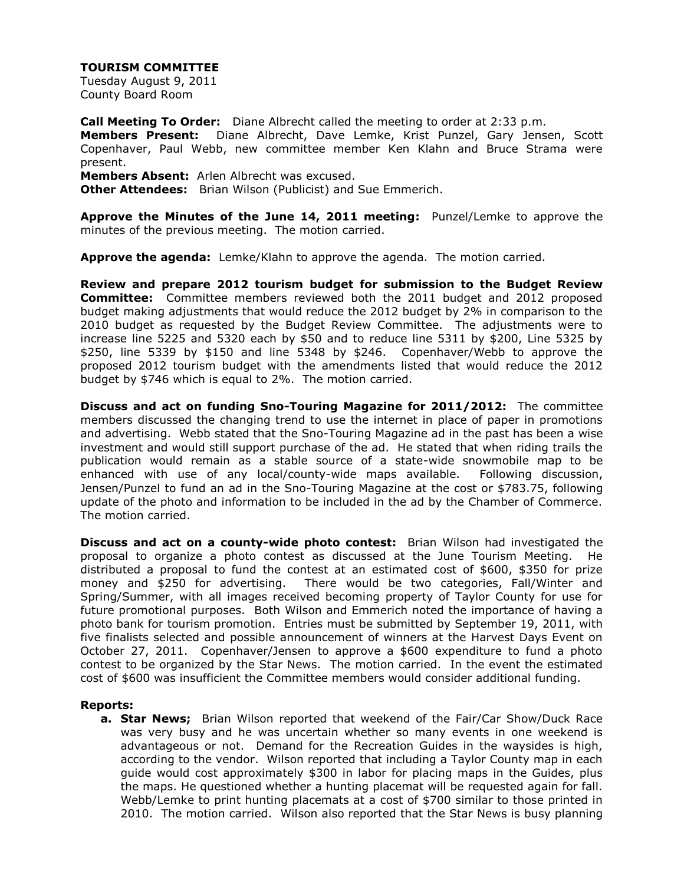Tuesday August 9, 2011 County Board Room

**Call Meeting To Order:** Diane Albrecht called the meeting to order at 2:33 p.m.

**Members Present:** Diane Albrecht, Dave Lemke, Krist Punzel, Gary Jensen, Scott Copenhaver, Paul Webb, new committee member Ken Klahn and Bruce Strama were present.

**Members Absent:** Arlen Albrecht was excused.

**Other Attendees:** Brian Wilson (Publicist) and Sue Emmerich.

**Approve the Minutes of the June 14, 2011 meeting:** Punzel/Lemke to approve the minutes of the previous meeting. The motion carried.

**Approve the agenda:** Lemke/Klahn to approve the agenda. The motion carried.

**Review and prepare 2012 tourism budget for submission to the Budget Review Committee:** Committee members reviewed both the 2011 budget and 2012 proposed budget making adjustments that would reduce the 2012 budget by 2% in comparison to the 2010 budget as requested by the Budget Review Committee. The adjustments were to increase line 5225 and 5320 each by \$50 and to reduce line 5311 by \$200, Line 5325 by \$250, line 5339 by \$150 and line 5348 by \$246. Copenhaver/Webb to approve the proposed 2012 tourism budget with the amendments listed that would reduce the 2012 budget by \$746 which is equal to 2%. The motion carried.

**Discuss and act on funding Sno-Touring Magazine for 2011/2012:** The committee members discussed the changing trend to use the internet in place of paper in promotions and advertising. Webb stated that the Sno-Touring Magazine ad in the past has been a wise investment and would still support purchase of the ad. He stated that when riding trails the publication would remain as a stable source of a state-wide snowmobile map to be enhanced with use of any local/county-wide maps available. Following discussion, Jensen/Punzel to fund an ad in the Sno-Touring Magazine at the cost or \$783.75, following update of the photo and information to be included in the ad by the Chamber of Commerce. The motion carried.

**Discuss and act on a county-wide photo contest:** Brian Wilson had investigated the proposal to organize a photo contest as discussed at the June Tourism Meeting. He distributed a proposal to fund the contest at an estimated cost of \$600, \$350 for prize money and \$250 for advertising. There would be two categories, Fall/Winter and Spring/Summer, with all images received becoming property of Taylor County for use for future promotional purposes. Both Wilson and Emmerich noted the importance of having a photo bank for tourism promotion. Entries must be submitted by September 19, 2011, with five finalists selected and possible announcement of winners at the Harvest Days Event on October 27, 2011. Copenhaver/Jensen to approve a \$600 expenditure to fund a photo contest to be organized by the Star News. The motion carried. In the event the estimated cost of \$600 was insufficient the Committee members would consider additional funding.

# **Reports:**

**a. Star News;** Brian Wilson reported that weekend of the Fair/Car Show/Duck Race was very busy and he was uncertain whether so many events in one weekend is advantageous or not. Demand for the Recreation Guides in the waysides is high, according to the vendor. Wilson reported that including a Taylor County map in each guide would cost approximately \$300 in labor for placing maps in the Guides, plus the maps. He questioned whether a hunting placemat will be requested again for fall. Webb/Lemke to print hunting placemats at a cost of \$700 similar to those printed in 2010. The motion carried. Wilson also reported that the Star News is busy planning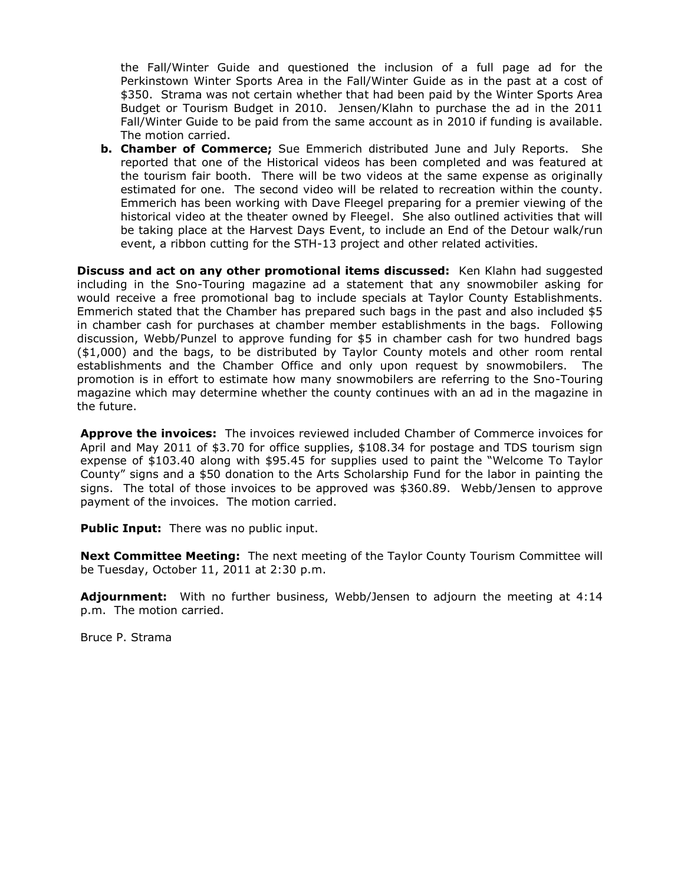the Fall/Winter Guide and questioned the inclusion of a full page ad for the Perkinstown Winter Sports Area in the Fall/Winter Guide as in the past at a cost of \$350. Strama was not certain whether that had been paid by the Winter Sports Area Budget or Tourism Budget in 2010. Jensen/Klahn to purchase the ad in the 2011 Fall/Winter Guide to be paid from the same account as in 2010 if funding is available. The motion carried.

**b. Chamber of Commerce;** Sue Emmerich distributed June and July Reports. She reported that one of the Historical videos has been completed and was featured at the tourism fair booth. There will be two videos at the same expense as originally estimated for one. The second video will be related to recreation within the county. Emmerich has been working with Dave Fleegel preparing for a premier viewing of the historical video at the theater owned by Fleegel. She also outlined activities that will be taking place at the Harvest Days Event, to include an End of the Detour walk/run event, a ribbon cutting for the STH-13 project and other related activities.

**Discuss and act on any other promotional items discussed:** Ken Klahn had suggested including in the Sno-Touring magazine ad a statement that any snowmobiler asking for would receive a free promotional bag to include specials at Taylor County Establishments. Emmerich stated that the Chamber has prepared such bags in the past and also included \$5 in chamber cash for purchases at chamber member establishments in the bags. Following discussion, Webb/Punzel to approve funding for \$5 in chamber cash for two hundred bags (\$1,000) and the bags, to be distributed by Taylor County motels and other room rental establishments and the Chamber Office and only upon request by snowmobilers. The promotion is in effort to estimate how many snowmobilers are referring to the Sno-Touring magazine which may determine whether the county continues with an ad in the magazine in the future.

**Approve the invoices:** The invoices reviewed included Chamber of Commerce invoices for April and May 2011 of \$3.70 for office supplies, \$108.34 for postage and TDS tourism sign expense of \$103.40 along with \$95.45 for supplies used to paint the "Welcome To Taylor County" signs and a \$50 donation to the Arts Scholarship Fund for the labor in painting the signs. The total of those invoices to be approved was \$360.89. Webb/Jensen to approve payment of the invoices. The motion carried.

**Public Input:** There was no public input.

**Next Committee Meeting:** The next meeting of the Taylor County Tourism Committee will be Tuesday, October 11, 2011 at 2:30 p.m.

**Adjournment:** With no further business, Webb/Jensen to adjourn the meeting at 4:14 p.m. The motion carried.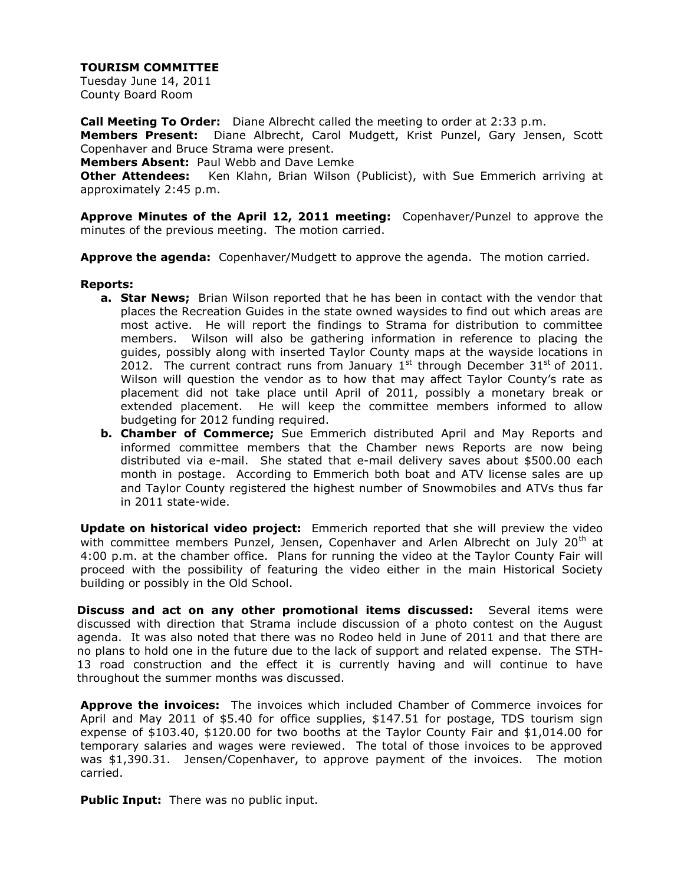Tuesday June 14, 2011 County Board Room

**Call Meeting To Order:** Diane Albrecht called the meeting to order at 2:33 p.m. **Members Present:** Diane Albrecht, Carol Mudgett, Krist Punzel, Gary Jensen, Scott Copenhaver and Bruce Strama were present.

**Members Absent:** Paul Webb and Dave Lemke

**Other Attendees:** Ken Klahn, Brian Wilson (Publicist), with Sue Emmerich arriving at approximately 2:45 p.m.

**Approve Minutes of the April 12, 2011 meeting:** Copenhaver/Punzel to approve the minutes of the previous meeting. The motion carried.

**Approve the agenda:** Copenhaver/Mudgett to approve the agenda. The motion carried.

#### **Reports:**

- **a. Star News;** Brian Wilson reported that he has been in contact with the vendor that places the Recreation Guides in the state owned waysides to find out which areas are most active. He will report the findings to Strama for distribution to committee members. Wilson will also be gathering information in reference to placing the guides, possibly along with inserted Taylor County maps at the wayside locations in 2012. The current contract runs from January  $1^{st}$  through December 31st of 2011. Wilson will question the vendor as to how that may affect Taylor County's rate as placement did not take place until April of 2011, possibly a monetary break or extended placement. He will keep the committee members informed to allow budgeting for 2012 funding required.
- **b. Chamber of Commerce;** Sue Emmerich distributed April and May Reports and informed committee members that the Chamber news Reports are now being distributed via e-mail. She stated that e-mail delivery saves about \$500.00 each month in postage. According to Emmerich both boat and ATV license sales are up and Taylor County registered the highest number of Snowmobiles and ATVs thus far in 2011 state-wide.

**Update on historical video project:** Emmerich reported that she will preview the video with committee members Punzel, Jensen, Copenhaver and Arlen Albrecht on July  $20<sup>th</sup>$  at 4:00 p.m. at the chamber office. Plans for running the video at the Taylor County Fair will proceed with the possibility of featuring the video either in the main Historical Society building or possibly in the Old School.

**Discuss and act on any other promotional items discussed:** Several items were discussed with direction that Strama include discussion of a photo contest on the August agenda. It was also noted that there was no Rodeo held in June of 2011 and that there are no plans to hold one in the future due to the lack of support and related expense. The STH-13 road construction and the effect it is currently having and will continue to have throughout the summer months was discussed.

**Approve the invoices:** The invoices which included Chamber of Commerce invoices for April and May 2011 of \$5.40 for office supplies, \$147.51 for postage, TDS tourism sign expense of \$103.40, \$120.00 for two booths at the Taylor County Fair and \$1,014.00 for temporary salaries and wages were reviewed. The total of those invoices to be approved was \$1,390.31. Jensen/Copenhaver, to approve payment of the invoices. The motion carried.

**Public Input:** There was no public input.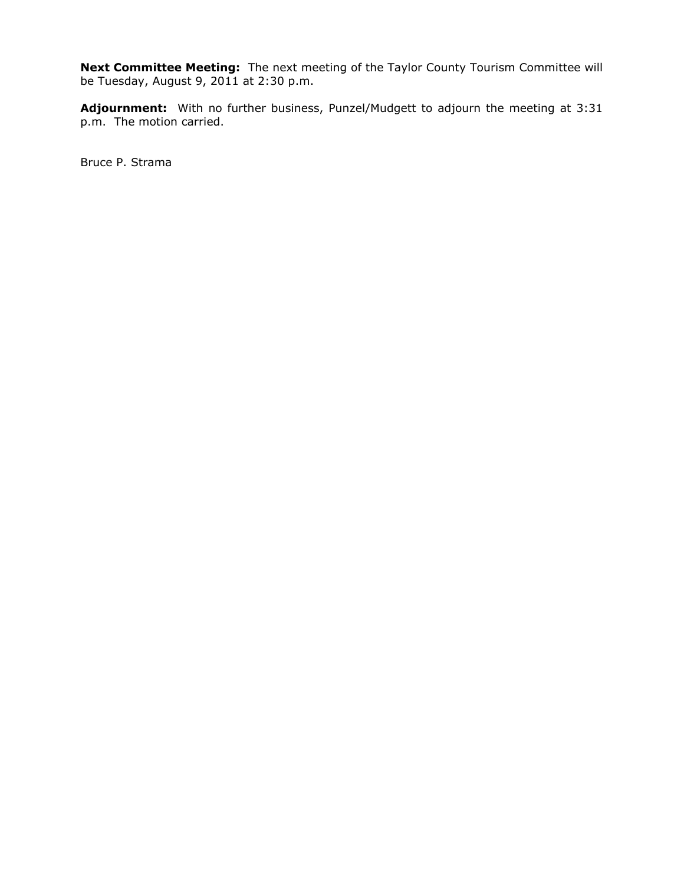**Next Committee Meeting:** The next meeting of the Taylor County Tourism Committee will be Tuesday, August 9, 2011 at 2:30 p.m.

**Adjournment:** With no further business, Punzel/Mudgett to adjourn the meeting at 3:31 p.m. The motion carried.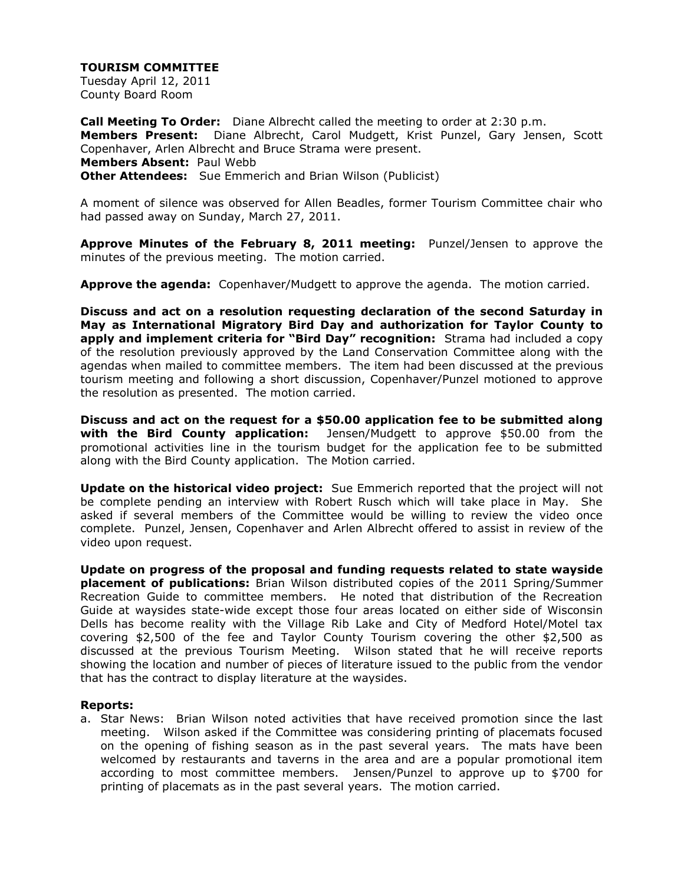Tuesday April 12, 2011 County Board Room

**Call Meeting To Order:** Diane Albrecht called the meeting to order at 2:30 p.m. **Members Present:** Diane Albrecht, Carol Mudgett, Krist Punzel, Gary Jensen, Scott Copenhaver, Arlen Albrecht and Bruce Strama were present. **Members Absent:** Paul Webb **Other Attendees:** Sue Emmerich and Brian Wilson (Publicist)

A moment of silence was observed for Allen Beadles, former Tourism Committee chair who had passed away on Sunday, March 27, 2011.

**Approve Minutes of the February 8, 2011 meeting:** Punzel/Jensen to approve the minutes of the previous meeting. The motion carried.

**Approve the agenda:** Copenhaver/Mudgett to approve the agenda. The motion carried.

**Discuss and act on a resolution requesting declaration of the second Saturday in May as International Migratory Bird Day and authorization for Taylor County to apply and implement criteria for "Bird Day" recognition:** Strama had included a copy of the resolution previously approved by the Land Conservation Committee along with the agendas when mailed to committee members. The item had been discussed at the previous tourism meeting and following a short discussion, Copenhaver/Punzel motioned to approve the resolution as presented. The motion carried.

**Discuss and act on the request for a \$50.00 application fee to be submitted along with the Bird County application:** Jensen/Mudgett to approve \$50.00 from the promotional activities line in the tourism budget for the application fee to be submitted along with the Bird County application. The Motion carried.

**Update on the historical video project:** Sue Emmerich reported that the project will not be complete pending an interview with Robert Rusch which will take place in May. She asked if several members of the Committee would be willing to review the video once complete. Punzel, Jensen, Copenhaver and Arlen Albrecht offered to assist in review of the video upon request.

**Update on progress of the proposal and funding requests related to state wayside placement of publications:** Brian Wilson distributed copies of the 2011 Spring/Summer Recreation Guide to committee members. He noted that distribution of the Recreation Guide at waysides state-wide except those four areas located on either side of Wisconsin Dells has become reality with the Village Rib Lake and City of Medford Hotel/Motel tax covering \$2,500 of the fee and Taylor County Tourism covering the other \$2,500 as discussed at the previous Tourism Meeting. Wilson stated that he will receive reports showing the location and number of pieces of literature issued to the public from the vendor that has the contract to display literature at the waysides.

#### **Reports:**

a. Star News: Brian Wilson noted activities that have received promotion since the last meeting. Wilson asked if the Committee was considering printing of placemats focused on the opening of fishing season as in the past several years. The mats have been welcomed by restaurants and taverns in the area and are a popular promotional item according to most committee members. Jensen/Punzel to approve up to \$700 for printing of placemats as in the past several years. The motion carried.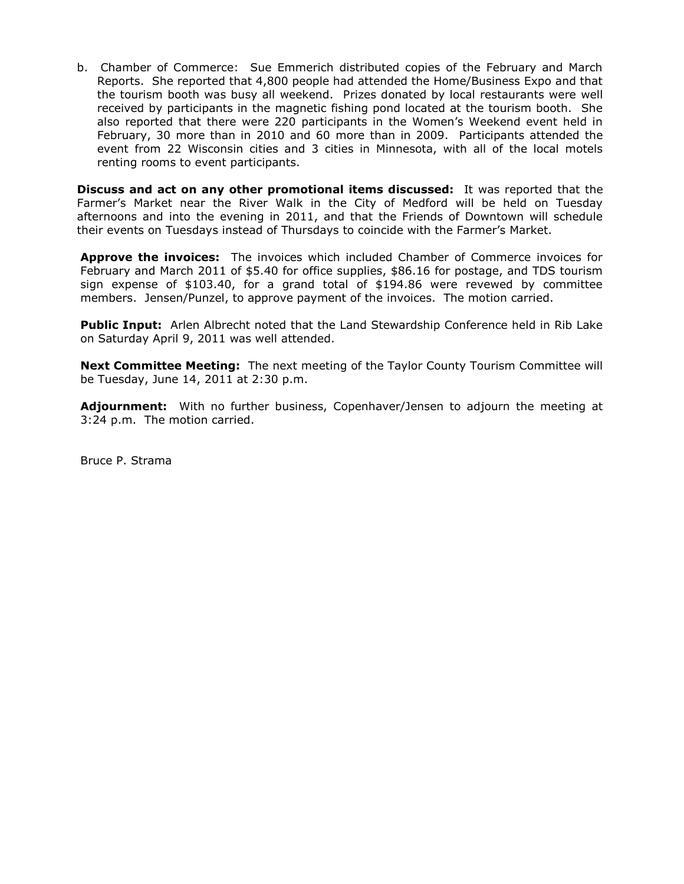b. Chamber of Commerce: Sue Emmerich distributed copies of the February and March Reports. She reported that 4,800 people had attended the Home/Business Expo and that the tourism booth was busy all weekend. Prizes donated by local restaurants were well received by participants in the magnetic fishing pond located at the tourism booth. She also reported that there were 220 participants in the Women's Weekend event held in February, 30 more than in 2010 and 60 more than in 2009. Participants attended the event from 22 Wisconsin cities and 3 cities in Minnesota, with all of the local motels renting rooms to event participants.

**Discuss and act on any other promotional items discussed:** It was reported that the Farmer's Market near the River Walk in the City of Medford will be held on Tuesday afternoons and into the evening in 2011, and that the Friends of Downtown will schedule their events on Tuesdays instead of Thursdays to coincide with the Farmer's Market.

**Approve the invoices:** The invoices which included Chamber of Commerce invoices for February and March 2011 of \$5.40 for office supplies, \$86.16 for postage, and TDS tourism sign expense of \$103.40, for a grand total of \$194.86 were revewed by committee members. Jensen/Punzel, to approve payment of the invoices. The motion carried.

**Public Input:** Arlen Albrecht noted that the Land Stewardship Conference held in Rib Lake on Saturday April 9, 2011 was well attended.

**Next Committee Meeting:** The next meeting of the Taylor County Tourism Committee will be Tuesday, June 14, 2011 at 2:30 p.m.

**Adjournment:** With no further business, Copenhaver/Jensen to adjourn the meeting at 3:24 p.m. The motion carried.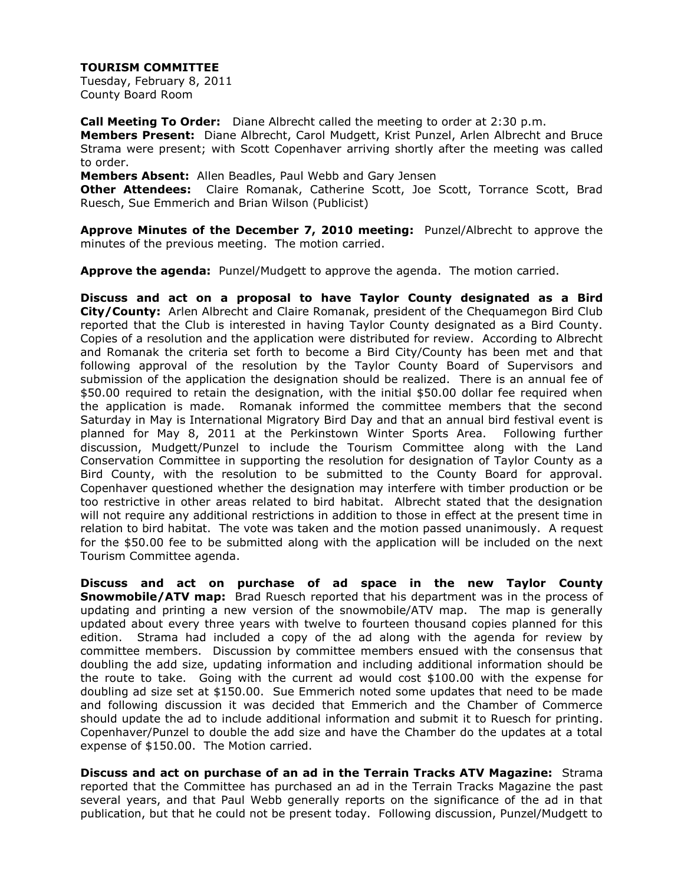Tuesday, February 8, 2011 County Board Room

**Call Meeting To Order:** Diane Albrecht called the meeting to order at 2:30 p.m.

**Members Present:** Diane Albrecht, Carol Mudgett, Krist Punzel, Arlen Albrecht and Bruce Strama were present; with Scott Copenhaver arriving shortly after the meeting was called to order.

**Members Absent:** Allen Beadles, Paul Webb and Gary Jensen

**Other Attendees:** Claire Romanak, Catherine Scott, Joe Scott, Torrance Scott, Brad Ruesch, Sue Emmerich and Brian Wilson (Publicist)

**Approve Minutes of the December 7, 2010 meeting:** Punzel/Albrecht to approve the minutes of the previous meeting. The motion carried.

**Approve the agenda:** Punzel/Mudgett to approve the agenda. The motion carried.

**Discuss and act on a proposal to have Taylor County designated as a Bird City/County:** Arlen Albrecht and Claire Romanak, president of the Chequamegon Bird Club reported that the Club is interested in having Taylor County designated as a Bird County. Copies of a resolution and the application were distributed for review. According to Albrecht and Romanak the criteria set forth to become a Bird City/County has been met and that following approval of the resolution by the Taylor County Board of Supervisors and submission of the application the designation should be realized. There is an annual fee of \$50.00 required to retain the designation, with the initial \$50.00 dollar fee required when the application is made. Romanak informed the committee members that the second Saturday in May is International Migratory Bird Day and that an annual bird festival event is planned for May 8, 2011 at the Perkinstown Winter Sports Area. Following further discussion, Mudgett/Punzel to include the Tourism Committee along with the Land Conservation Committee in supporting the resolution for designation of Taylor County as a Bird County, with the resolution to be submitted to the County Board for approval. Copenhaver questioned whether the designation may interfere with timber production or be too restrictive in other areas related to bird habitat. Albrecht stated that the designation will not require any additional restrictions in addition to those in effect at the present time in relation to bird habitat. The vote was taken and the motion passed unanimously. A request for the \$50.00 fee to be submitted along with the application will be included on the next Tourism Committee agenda.

**Discuss and act on purchase of ad space in the new Taylor County Snowmobile/ATV map:** Brad Ruesch reported that his department was in the process of updating and printing a new version of the snowmobile/ATV map. The map is generally updated about every three years with twelve to fourteen thousand copies planned for this edition. Strama had included a copy of the ad along with the agenda for review by committee members. Discussion by committee members ensued with the consensus that doubling the add size, updating information and including additional information should be the route to take. Going with the current ad would cost \$100.00 with the expense for doubling ad size set at \$150.00. Sue Emmerich noted some updates that need to be made and following discussion it was decided that Emmerich and the Chamber of Commerce should update the ad to include additional information and submit it to Ruesch for printing. Copenhaver/Punzel to double the add size and have the Chamber do the updates at a total expense of \$150.00. The Motion carried.

**Discuss and act on purchase of an ad in the Terrain Tracks ATV Magazine:** Strama reported that the Committee has purchased an ad in the Terrain Tracks Magazine the past several years, and that Paul Webb generally reports on the significance of the ad in that publication, but that he could not be present today. Following discussion, Punzel/Mudgett to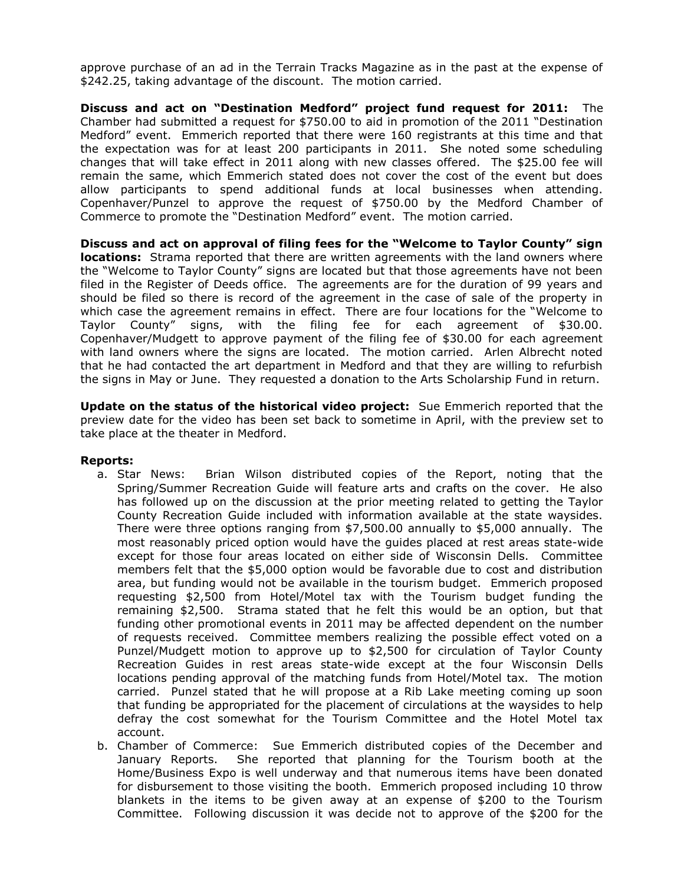approve purchase of an ad in the Terrain Tracks Magazine as in the past at the expense of \$242.25, taking advantage of the discount. The motion carried.

**Discuss and act on "Destination Medford" project fund request for 2011:** The Chamber had submitted a request for \$750.00 to aid in promotion of the 2011 "Destination Medford" event. Emmerich reported that there were 160 registrants at this time and that the expectation was for at least 200 participants in 2011. She noted some scheduling changes that will take effect in 2011 along with new classes offered. The \$25.00 fee will remain the same, which Emmerich stated does not cover the cost of the event but does allow participants to spend additional funds at local businesses when attending. Copenhaver/Punzel to approve the request of \$750.00 by the Medford Chamber of Commerce to promote the "Destination Medford" event. The motion carried.

**Discuss and act on approval of filing fees for the "Welcome to Taylor County" sign locations:** Strama reported that there are written agreements with the land owners where the "Welcome to Taylor County" signs are located but that those agreements have not been filed in the Register of Deeds office. The agreements are for the duration of 99 years and should be filed so there is record of the agreement in the case of sale of the property in which case the agreement remains in effect. There are four locations for the "Welcome to Taylor County" signs, with the filing fee for each agreement of \$30.00. Copenhaver/Mudgett to approve payment of the filing fee of \$30.00 for each agreement with land owners where the signs are located. The motion carried. Arlen Albrecht noted that he had contacted the art department in Medford and that they are willing to refurbish the signs in May or June. They requested a donation to the Arts Scholarship Fund in return.

**Update on the status of the historical video project:** Sue Emmerich reported that the preview date for the video has been set back to sometime in April, with the preview set to take place at the theater in Medford.

#### **Reports:**

- a. Star News: Brian Wilson distributed copies of the Report, noting that the Spring/Summer Recreation Guide will feature arts and crafts on the cover. He also has followed up on the discussion at the prior meeting related to getting the Taylor County Recreation Guide included with information available at the state waysides. There were three options ranging from \$7,500.00 annually to \$5,000 annually. The most reasonably priced option would have the guides placed at rest areas state-wide except for those four areas located on either side of Wisconsin Dells. Committee members felt that the \$5,000 option would be favorable due to cost and distribution area, but funding would not be available in the tourism budget. Emmerich proposed requesting \$2,500 from Hotel/Motel tax with the Tourism budget funding the remaining \$2,500. Strama stated that he felt this would be an option, but that funding other promotional events in 2011 may be affected dependent on the number of requests received. Committee members realizing the possible effect voted on a Punzel/Mudgett motion to approve up to \$2,500 for circulation of Taylor County Recreation Guides in rest areas state-wide except at the four Wisconsin Dells locations pending approval of the matching funds from Hotel/Motel tax. The motion carried. Punzel stated that he will propose at a Rib Lake meeting coming up soon that funding be appropriated for the placement of circulations at the waysides to help defray the cost somewhat for the Tourism Committee and the Hotel Motel tax account.
- b. Chamber of Commerce: Sue Emmerich distributed copies of the December and January Reports. She reported that planning for the Tourism booth at the Home/Business Expo is well underway and that numerous items have been donated for disbursement to those visiting the booth. Emmerich proposed including 10 throw blankets in the items to be given away at an expense of \$200 to the Tourism Committee. Following discussion it was decide not to approve of the \$200 for the